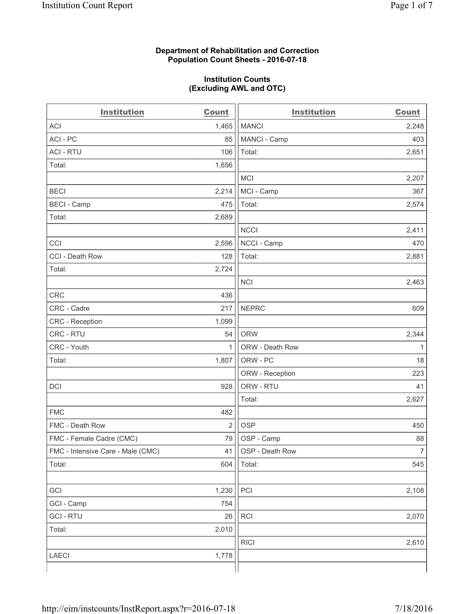#### **Department of Rehabilitation and Correction Population Count Sheets - 2016-07-18**

#### **Institution Counts (Excluding AWL and OTC)**

| <b>Institution</b>                | <b>Count</b>   | <b>Institution</b> | <b>Count</b>   |
|-----------------------------------|----------------|--------------------|----------------|
| <b>ACI</b>                        | 1,465          | <b>MANCI</b>       | 2,248          |
| ACI-PC                            | 85             | MANCI - Camp       | 403            |
| <b>ACI - RTU</b>                  | 106            | Total:             | 2,651          |
| Total:                            | 1,656          |                    |                |
|                                   |                | <b>MCI</b>         | 2,207          |
| <b>BECI</b>                       | 2,214          | MCI - Camp         | 367            |
| <b>BECI</b> - Camp                | 475            | Total:             | 2,574          |
| Total:                            | 2,689          |                    |                |
|                                   |                | <b>NCCI</b>        | 2,411          |
| CCI                               | 2,596          | NCCI - Camp        | 470            |
| CCI - Death Row                   | 128            | Total:             | 2,881          |
| Total:                            | 2,724          |                    |                |
|                                   |                | <b>NCI</b>         | 2,463          |
| <b>CRC</b>                        | 436            |                    |                |
| CRC - Cadre                       | 217            | <b>NEPRC</b>       | 609            |
| CRC - Reception                   | 1,099          |                    |                |
| CRC - RTU                         | 54             | <b>ORW</b>         | 2,344          |
| CRC - Youth                       | 1              | ORW - Death Row    | 1              |
| Total:                            | 1,807          | ORW - PC           | 18             |
|                                   |                | ORW - Reception    | 223            |
| DCI                               | 928            | ORW - RTU          | 41             |
|                                   |                | Total:             | 2,627          |
| <b>FMC</b>                        | 482            |                    |                |
| FMC - Death Row                   | $\overline{2}$ | <b>OSP</b>         | 450            |
| FMC - Female Cadre (CMC)          | 79             | OSP - Camp         | 88             |
| FMC - Intensive Care - Male (CMC) | 41             | OSP - Death Row    | $\overline{7}$ |
| Total:                            | 604            | Total:             | 545            |
|                                   |                |                    |                |
| GCI                               | 1,230          | PCI                | 2,108          |
| GCI - Camp                        | 754            |                    |                |
| <b>GCI-RTU</b>                    | 26             | RCI                | 2,070          |
| Total:                            | 2,010          |                    |                |
|                                   |                | <b>RICI</b>        | 2,610          |
| <b>LAECI</b>                      | 1,778          |                    |                |
|                                   |                |                    |                |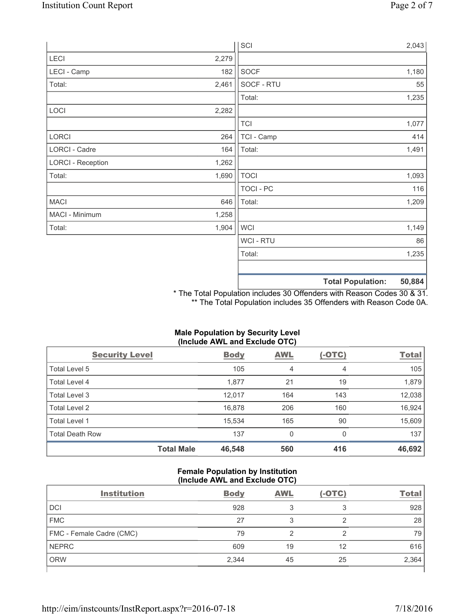|                          |       | SCI            |                          | 2,043  |
|--------------------------|-------|----------------|--------------------------|--------|
| LECI                     | 2,279 |                |                          |        |
| LECI - Camp              | 182   | SOCF           |                          | 1,180  |
| Total:                   | 2,461 | SOCF - RTU     |                          | 55     |
|                          |       | Total:         |                          | 1,235  |
| LOCI                     | 2,282 |                |                          |        |
|                          |       | <b>TCI</b>     |                          | 1,077  |
| LORCI                    | 264   | TCI - Camp     |                          | 414    |
| LORCI - Cadre            | 164   | Total:         |                          | 1,491  |
| <b>LORCI - Reception</b> | 1,262 |                |                          |        |
| Total:                   | 1,690 | <b>TOCI</b>    |                          | 1,093  |
|                          |       | TOCI - PC      |                          | 116    |
| <b>MACI</b>              | 646   | Total:         |                          | 1,209  |
| MACI - Minimum           | 1,258 |                |                          |        |
| Total:                   | 1,904 | <b>WCI</b>     |                          | 1,149  |
|                          |       | <b>WCI-RTU</b> |                          | 86     |
|                          |       | Total:         |                          | 1,235  |
|                          |       |                | <b>Total Population:</b> | 50,884 |

\* The Total Population includes 30 Offenders with Reason Codes 30 & 31. \*\* The Total Population includes 35 Offenders with Reason Code 0A.

# **(Include AWL and Exclude OTC)**  Security Level **Body** AWL (-OTC) Total Total Level 5  $\begin{array}{ccccccc} 105 & 4 & 4 & 4 & 105 \end{array}$ Total Level 4 1,879 1,879 1,877 1,877 21 19 1,879 1,879 Total Level 3 12,038 12,017 164 143 12,038 Total Level 2 16,978 206 160 16,924 Total Level 1 15,534 165 90 15,609 Total Death Row **137** 0 0 0 137 **Total Male 46,548 560 416 46,692**

# **Male Population by Security Level**

### **Female Population by Institution (Include AWL and Exclude OTC)**

| <b>Institution</b>       | <b>Body</b> | <b>AWL</b> | $(-OTC)$ | <b>Total</b> |
|--------------------------|-------------|------------|----------|--------------|
| <b>DCI</b>               | 928         |            | 3        | 928          |
| <b>FMC</b>               | 27          |            |          | 28           |
| FMC - Female Cadre (CMC) | 79          |            | ⌒        | 79           |
| <b>NEPRC</b>             | 609         | 19         | 12       | 616          |
| <b>ORW</b>               | 2,344       | 45         | 25       | 2,364        |
|                          |             |            |          |              |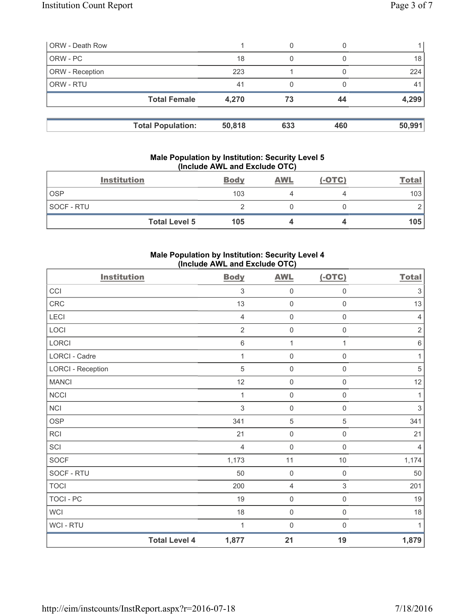| <b>ORW</b> - Death Row |                          |        | 0   |     |        |
|------------------------|--------------------------|--------|-----|-----|--------|
| ORW - PC               |                          | 18     | 0   |     | 18     |
| <b>ORW</b> - Reception |                          | 223    |     |     | 224    |
| <b>ORW - RTU</b>       |                          | 41     | 0   |     | 41     |
|                        | <b>Total Female</b>      | 4,270  | 73  | 44  | 4,299  |
|                        | <b>Total Population:</b> | 50,818 | 633 | 460 | 50,991 |
|                        |                          |        |     |     |        |

#### **Male Population by Institution: Security Level 5 (Include AWL and Exclude OTC)**

|            | <b>Institution</b>   | <b>Body</b> | <b>AWL</b> | $(-OTC)$ | <b>Total</b> |
|------------|----------------------|-------------|------------|----------|--------------|
| <b>OSP</b> |                      | 103         |            |          | 103          |
| SOCF - RTU |                      |             |            |          |              |
|            | <b>Total Level 5</b> | 105         |            |          | 105          |

## **Male Population by Institution: Security Level 4 (Include AWL and Exclude OTC)**

| <b>Institution</b>       |                      | <b>Body</b>    | <b>AWL</b>          | $(-OTC)$            | <b>Total</b>              |
|--------------------------|----------------------|----------------|---------------------|---------------------|---------------------------|
| CCI                      |                      | $\mathfrak{Z}$ | $\mathsf{O}\xspace$ | $\mathsf{O}\xspace$ | $\ensuremath{\mathsf{3}}$ |
| CRC                      |                      | 13             | $\mathbf 0$         | $\mathsf 0$         | 13                        |
| LECI                     |                      | $\overline{4}$ | $\mathsf 0$         | $\mathsf{O}\xspace$ | $\overline{4}$            |
| LOCI                     |                      | $\overline{2}$ | $\mathsf{O}\xspace$ | $\mathsf 0$         | $\sqrt{2}$                |
| LORCI                    |                      | $\,6\,$        | $\mathbf 1$         | 1                   | $\,6\,$                   |
| LORCI - Cadre            |                      | 1              | $\mathbf 0$         | $\mathbf 0$         | 1                         |
| <b>LORCI - Reception</b> |                      | 5              | $\mathbf 0$         | $\mathsf 0$         | $\sqrt{5}$                |
| <b>MANCI</b>             |                      | 12             | $\mathsf{O}\xspace$ | $\mathsf 0$         | 12                        |
| <b>NCCI</b>              |                      | 1              | $\mathsf 0$         | $\mathsf 0$         | $\mathbf{1}$              |
| NCI                      |                      | $\mathfrak{S}$ | $\mathbf 0$         | $\mathbf 0$         | $\mathfrak{Z}$            |
| <b>OSP</b>               |                      | 341            | $\mathbf 5$         | $\,$ 5 $\,$         | 341                       |
| <b>RCI</b>               |                      | 21             | $\mathsf{O}\xspace$ | $\mathsf{O}\xspace$ | 21                        |
| SCI                      |                      | $\overline{4}$ | $\mathsf{O}\xspace$ | $\mathsf{O}\xspace$ | $\overline{4}$            |
| <b>SOCF</b>              |                      | 1,173          | 11                  | $10$                | 1,174                     |
| SOCF - RTU               |                      | 50             | $\mathbf 0$         | $\mathbf 0$         | 50                        |
| <b>TOCI</b>              |                      | 200            | $\overline{4}$      | 3                   | 201                       |
| <b>TOCI - PC</b>         |                      | 19             | $\mathsf 0$         | $\mathsf{O}\xspace$ | 19                        |
| WCI                      |                      | 18             | $\mathbf 0$         | $\mathsf{O}\xspace$ | 18                        |
| WCI - RTU                |                      | 1              | $\mathbf 0$         | 0                   | $\mathbf{1}$              |
|                          | <b>Total Level 4</b> | 1,877          | 21                  | 19                  | 1,879                     |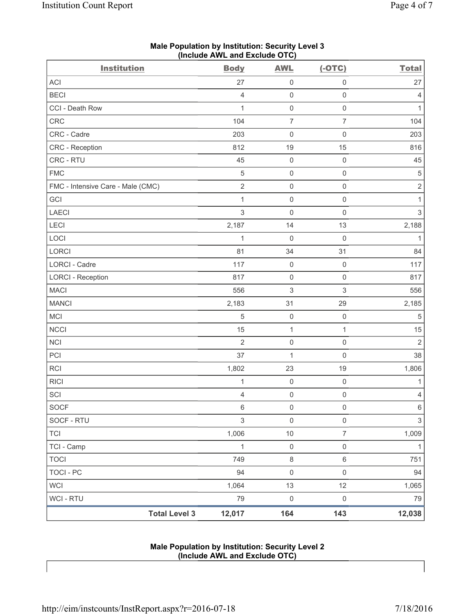| <b>Institution</b>                | $($ molution $\overline{C}$ and $\overline{C}$ actual $\overline{C}$ is $\overline{C}$<br><b>Body</b> | <b>AWL</b>                | $(-OTC)$            | <b>Total</b>   |
|-----------------------------------|-------------------------------------------------------------------------------------------------------|---------------------------|---------------------|----------------|
| ACI                               | 27                                                                                                    | $\mathsf 0$               | $\mathsf 0$         | 27             |
| <b>BECI</b>                       | $\overline{4}$                                                                                        | $\mathsf{O}\xspace$       | $\mathsf 0$         | 4              |
| CCI - Death Row                   | $\mathbf{1}$                                                                                          | $\mathsf{O}\xspace$       | $\mathsf 0$         | 1              |
| CRC                               | 104                                                                                                   | $\overline{7}$            | $\overline{7}$      | 104            |
| CRC - Cadre                       | 203                                                                                                   | $\mathbf 0$               | $\mathsf 0$         | 203            |
| CRC - Reception                   | 812                                                                                                   | 19                        | 15                  | 816            |
| CRC - RTU                         | 45                                                                                                    | $\mathsf{O}\xspace$       | $\mathsf 0$         | 45             |
| <b>FMC</b>                        | 5                                                                                                     | $\mathsf{O}\xspace$       | $\mathsf 0$         | $\sqrt{5}$     |
| FMC - Intensive Care - Male (CMC) | $\sqrt{2}$                                                                                            | $\mathsf{O}\xspace$       | $\mathsf 0$         | $\sqrt{2}$     |
| GCI                               | $\mathbf{1}$                                                                                          | $\mathsf{O}\xspace$       | $\mathsf 0$         | 1              |
| LAECI                             | $\,$ 3 $\,$                                                                                           | $\mathsf{O}\xspace$       | $\mathsf 0$         | $\,$ 3 $\,$    |
| LECI                              | 2,187                                                                                                 | 14                        | 13                  | 2,188          |
| LOCI                              | $\mathbf{1}$                                                                                          | $\mathbf 0$               | $\mathbf 0$         | 1              |
| LORCI                             | 81                                                                                                    | 34                        | 31                  | 84             |
| <b>LORCI - Cadre</b>              | 117                                                                                                   | $\mathsf{O}\xspace$       | $\mathbf 0$         | 117            |
| <b>LORCI - Reception</b>          | 817                                                                                                   | $\mathsf{O}\xspace$       | $\mathsf 0$         | 817            |
| <b>MACI</b>                       | 556                                                                                                   | $\ensuremath{\mathsf{3}}$ | $\sqrt{3}$          | 556            |
| <b>MANCI</b>                      | 2,183                                                                                                 | 31                        | 29                  | 2,185          |
| MCI                               | 5                                                                                                     | $\mathsf{O}\xspace$       | $\mathsf{O}\xspace$ | $\sqrt{5}$     |
| <b>NCCI</b>                       | 15                                                                                                    | $\mathbf{1}$              | $\mathbf{1}$        | 15             |
| <b>NCI</b>                        | $\overline{2}$                                                                                        | $\mathsf{O}\xspace$       | $\mathsf 0$         | $\overline{2}$ |
| PCI                               | 37                                                                                                    | $\mathbf 1$               | $\mathbf 0$         | 38             |
| <b>RCI</b>                        | 1,802                                                                                                 | 23                        | 19                  | 1,806          |
| <b>RICI</b>                       | $\mathbf{1}$                                                                                          | $\mathsf{O}\xspace$       | $\mathsf{O}\xspace$ | $\mathbf{1}$   |
| SCI                               | $\overline{4}$                                                                                        | $\mathsf{O}\xspace$       | $\mathbf 0$         | 4              |
| <b>SOCF</b>                       | $\,6$                                                                                                 | $\mathsf{O}\xspace$       | $\mathsf 0$         | $\,6\,$        |
| SOCF - RTU                        | $\mathsf 3$                                                                                           | $\mathsf{O}\xspace$       | $\mathsf 0$         | $\,$ 3 $\,$    |
| <b>TCI</b>                        | 1,006                                                                                                 | $10$                      | $\overline{7}$      | 1,009          |
| TCI - Camp                        | $\mathbf{1}$                                                                                          | $\mathsf{O}\xspace$       | $\mathsf 0$         | $\mathbf{1}$   |
| <b>TOCI</b>                       | 749                                                                                                   | $\,8\,$                   | $\,6\,$             | 751            |
| <b>TOCI - PC</b>                  | 94                                                                                                    | $\mathsf 0$               | $\mathsf 0$         | 94             |
| <b>WCI</b>                        | 1,064                                                                                                 | 13                        | 12                  | 1,065          |
| <b>WCI - RTU</b>                  | 79                                                                                                    | $\mathsf{0}$              | $\mathsf{O}\xspace$ | 79             |
| <b>Total Level 3</b>              | 12,017                                                                                                | 164                       | 143                 | 12,038         |

### **Male Population by Institution: Security Level 3 (Include AWL and Exclude OTC)**

#### **Male Population by Institution: Security Level 2 (Include AWL and Exclude OTC)**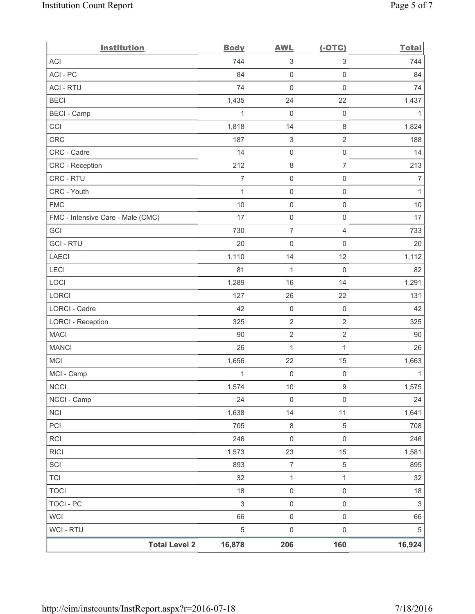| <b>Institution</b>                | <b>Body</b>    | <b>AWL</b>                | $(-OTC)$            | <b>Total</b>   |
|-----------------------------------|----------------|---------------------------|---------------------|----------------|
| ACI                               | 744            | 3                         | 3                   | 744            |
| ACI-PC                            | 84             | $\mathbf 0$               | $\mathsf 0$         | 84             |
| <b>ACI - RTU</b>                  | 74             | 0                         | $\mathsf 0$         | 74             |
| <b>BECI</b>                       | 1,435          | 24                        | 22                  | 1,437          |
| <b>BECI - Camp</b>                | 1              | $\mathbf 0$               | $\mathsf{O}\xspace$ | 1              |
| CCI                               | 1,818          | 14                        | $\,8\,$             | 1,824          |
| <b>CRC</b>                        | 187            | $\ensuremath{\mathsf{3}}$ | $\overline{2}$      | 188            |
| CRC - Cadre                       | 14             | $\mathsf{O}\xspace$       | $\mathsf 0$         | 14             |
| CRC - Reception                   | 212            | 8                         | $\overline{7}$      | 213            |
| CRC - RTU                         | $\overline{7}$ | $\mathsf{O}\xspace$       | $\mathsf 0$         | $\overline{7}$ |
| CRC - Youth                       | $\mathbf{1}$   | $\mathsf{O}\xspace$       | $\mathsf 0$         | 1              |
| <b>FMC</b>                        | 10             | $\mathsf{O}\xspace$       | $\mathsf{O}\xspace$ | 10             |
| FMC - Intensive Care - Male (CMC) | 17             | $\mathsf{O}\xspace$       | $\mathsf 0$         | 17             |
| GCI                               | 730            | $\overline{7}$            | $\overline{4}$      | 733            |
| <b>GCI-RTU</b>                    | 20             | $\mathsf{O}\xspace$       | $\mathsf{O}\xspace$ | 20             |
| <b>LAECI</b>                      | 1,110          | 14                        | 12                  | 1,112          |
| LECI                              | 81             | $\mathbf{1}$              | $\mathbf 0$         | 82             |
| LOCI                              | 1,289          | 16                        | 14                  | 1,291          |
| LORCI                             | 127            | 26                        | 22                  | 131            |
| LORCI - Cadre                     | 42             | $\mathsf{O}\xspace$       | $\mathsf{O}\xspace$ | 42             |
| <b>LORCI - Reception</b>          | 325            | $\sqrt{2}$                | $\sqrt{2}$          | 325            |
| <b>MACI</b>                       | 90             | $\sqrt{2}$                | $\sqrt{2}$          | 90             |
| <b>MANCI</b>                      | 26             | $\mathbf{1}$              | $\mathbf{1}$        | 26             |
| <b>MCI</b>                        | 1,656          | 22                        | 15                  | 1,663          |
| MCI - Camp                        | 1              | $\boldsymbol{0}$          | $\mathsf 0$         | 1              |
| NCCI                              | 1,574          | $10$                      | $\boldsymbol{9}$    | 1,575          |
| NCCI - Camp                       | 24             | $\mathsf 0$               | $\mathbf 0$         | 24             |
| <b>NCI</b>                        | 1,638          | 14                        | 11                  | 1,641          |
| PCI                               | 705            | $\,8\,$                   | $\,$ 5 $\,$         | 708            |
| RCI                               | 246            | $\mathsf{O}\xspace$       | $\mathsf 0$         | 246            |
| <b>RICI</b>                       | 1,573          | 23                        | 15                  | 1,581          |
| SCI                               | 893            | $\overline{7}$            | 5                   | 895            |
| <b>TCI</b>                        | 32             | $\mathbf 1$               | $\mathbf{1}$        | 32             |
| <b>TOCI</b>                       | 18             | $\mathsf{O}\xspace$       | $\mathsf 0$         | $18$           |
| <b>TOCI - PC</b>                  | $\mathfrak{S}$ | $\mathsf 0$               | $\mathsf 0$         | $\sqrt{3}$     |
| <b>WCI</b>                        | 66             | $\mathsf{O}\xspace$       | $\mathsf{O}\xspace$ | 66             |
| <b>WCI - RTU</b>                  | $\sqrt{5}$     | $\mathsf{O}\xspace$       | $\mathsf 0$         | $\,$ 5 $\,$    |
| <b>Total Level 2</b>              | 16,878         | 206                       | 160                 | 16,924         |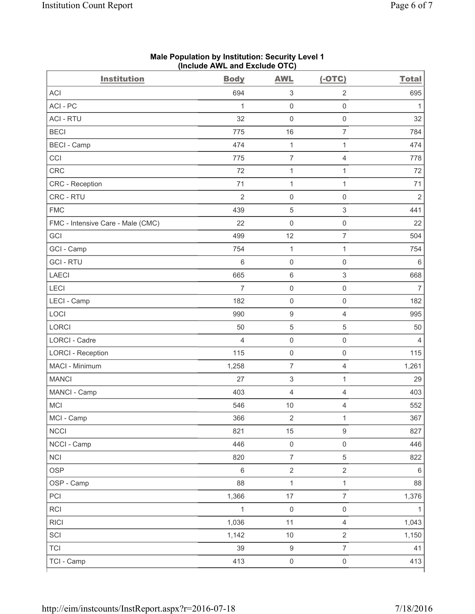| <b>Institution</b>                | <b>Body</b>    | <b>AWL</b>                | $(-OTC)$            | <b>Total</b>   |
|-----------------------------------|----------------|---------------------------|---------------------|----------------|
| <b>ACI</b>                        | 694            | $\ensuremath{\mathsf{3}}$ | 2                   | 695            |
| ACI - PC                          | $\mathbf{1}$   | 0                         | $\mathsf 0$         | 1              |
| <b>ACI - RTU</b>                  | 32             | $\mathsf 0$               | $\mathsf 0$         | 32             |
| <b>BECI</b>                       | 775            | 16                        | $\overline{7}$      | 784            |
| <b>BECI</b> - Camp                | 474            | $\mathbf{1}$              | $\mathbf{1}$        | 474            |
| CCI                               | 775            | $\overline{7}$            | $\overline{4}$      | 778            |
| <b>CRC</b>                        | 72             | $\mathbf{1}$              | $\mathbf{1}$        | 72             |
| <b>CRC</b> - Reception            | 71             | $\mathbf{1}$              | $\mathbf{1}$        | 71             |
| CRC - RTU                         | $\overline{2}$ | 0                         | $\mathsf 0$         | $\overline{2}$ |
| <b>FMC</b>                        | 439            | 5                         | $\mathsf 3$         | 441            |
| FMC - Intensive Care - Male (CMC) | 22             | 0                         | $\mathsf 0$         | 22             |
| GCI                               | 499            | 12                        | $\overline{7}$      | 504            |
| GCI - Camp                        | 754            | $\mathbf{1}$              | $\mathbf{1}$        | 754            |
| <b>GCI-RTU</b>                    | 6              | $\mathsf 0$               | $\mathsf 0$         | 6              |
| LAECI                             | 665            | 6                         | $\mathsf 3$         | 668            |
| LECI                              | $\overline{7}$ | $\mathsf{O}\xspace$       | $\mathsf 0$         | $\overline{7}$ |
| LECI - Camp                       | 182            | $\mathsf 0$               | $\mathsf{O}\xspace$ | 182            |
| LOCI                              | 990            | $\boldsymbol{9}$          | $\overline{4}$      | 995            |
| LORCI                             | 50             | 5                         | $\,$ 5 $\,$         | 50             |
| <b>LORCI - Cadre</b>              | $\overline{4}$ | $\mathsf 0$               | $\mathsf 0$         | 4              |
| <b>LORCI - Reception</b>          | 115            | 0                         | $\mathsf{O}\xspace$ | 115            |
| MACI - Minimum                    | 1,258          | 7                         | $\overline{4}$      | 1,261          |
| <b>MANCI</b>                      | 27             | 3                         | $\mathbf{1}$        | 29             |
| MANCI - Camp                      | 403            | 4                         | $\overline{4}$      | 403            |
| <b>MCI</b>                        | 546            | 10                        | $\overline{4}$      | 552            |
| MCI - Camp                        | 366            | $\sqrt{2}$                | $\mathbf{1}$        | 367            |
| <b>NCCI</b>                       | 821            | 15                        | $\boldsymbol{9}$    | 827            |
| NCCI - Camp                       | 446            | $\mathsf{O}\xspace$       | $\mathsf{O}\xspace$ | 446            |
| <b>NCI</b>                        | 820            | $\overline{7}$            | $\sqrt{5}$          | 822            |
| <b>OSP</b>                        | $\,6\,$        | $\overline{2}$            | $\overline{2}$      | $\,6\,$        |
| OSP - Camp                        | 88             | $\mathbf{1}$              | $\mathbf{1}$        | 88             |
| PCI                               | 1,366          | 17                        | $\overline{7}$      | 1,376          |
| RCI                               | $\mathbf{1}$   | $\mathsf 0$               | $\mathsf 0$         | 1              |
| <b>RICI</b>                       | 1,036          | 11                        | $\overline{4}$      | 1,043          |
| SCI                               | 1,142          | $10$                      | $\sqrt{2}$          | 1,150          |
| <b>TCI</b>                        | 39             | $\boldsymbol{9}$          | $\overline{7}$      | 41             |
| TCI - Camp                        | 413            | $\mathsf{O}\xspace$       | $\mathsf 0$         | 413            |

#### **Male Population by Institution: Security Level 1 (Include AWL and Exclude OTC)**